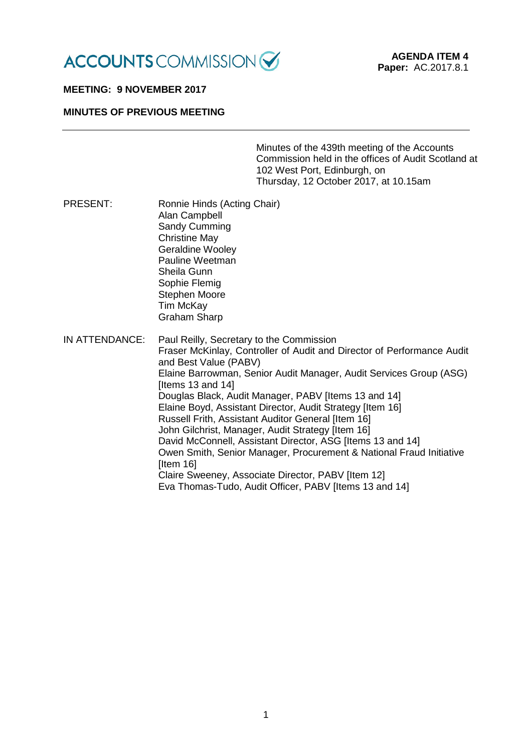

#### **MEETING: 9 NOVEMBER 2017**

### **MINUTES OF PREVIOUS MEETING**

Minutes of the 439th meeting of the Accounts Commission held in the offices of Audit Scotland at 102 West Port, Edinburgh, on Thursday, 12 October 2017, at 10.15am

PRESENT: Ronnie Hinds (Acting Chair) Alan Campbell Sandy Cumming Christine May Geraldine Wooley Pauline Weetman Sheila Gunn Sophie Flemig Stephen Moore Tim McKay Graham Sharp IN ATTENDANCE: Paul Reilly, Secretary to the Commission Fraser McKinlay, Controller of Audit and Director of Performance Audit and Best Value (PABV) Elaine Barrowman, Senior Audit Manager, Audit Services Group (ASG) [Items 13 and 14] Douglas Black, Audit Manager, PABV [Items 13 and 14] Elaine Boyd, Assistant Director, Audit Strategy [Item 16] Russell Frith, Assistant Auditor General [Item 16] John Gilchrist, Manager, Audit Strategy [Item 16] David McConnell, Assistant Director, ASG [Items 13 and 14] Owen Smith, Senior Manager, Procurement & National Fraud Initiative [Item 16] Claire Sweeney, Associate Director, PABV [Item 12] Eva Thomas-Tudo, Audit Officer, PABV [Items 13 and 14]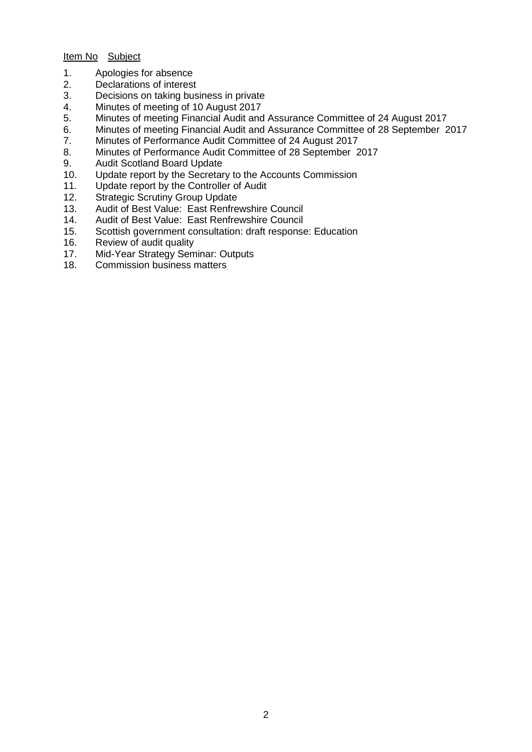# Item No Subject

- 1. Apologies for absence<br>2. Declarations of interest
- 2. Declarations of interest<br>3. Decisions on taking bus
- Decisions on taking business in private
- 4. Minutes of meeting of 10 August 2017
- 5. Minutes of meeting Financial Audit and Assurance Committee of 24 August 2017
- 6. Minutes of meeting Financial Audit and Assurance Committee of 28 September 2017
- 7. Minutes of Performance Audit Committee of 24 August 2017<br>8. Minutes of Performance Audit Committee of 28 September 2
- 8. Minutes of Performance Audit Committee of 28 September 2017<br>9. Audit Scotland Board Update
- 9. Audit Scotland Board Update<br>10. Update report by the Secretar
- 10. Update report by the Secretary to the Accounts Commission
- 11. Update report by the Controller of Audit
- 12. Strategic Scrutiny Group Update
- 13. Audit of Best Value: East Renfrewshire Council<br>14. Audit of Best Value: East Renfrewshire Council
- 14. Audit of Best Value: East Renfrewshire Council<br>15. Scottish government consultation: draft response
- 15. Scottish government consultation: draft response: Education
- Review of audit quality
- 17. Mid-Year Strategy Seminar: Outputs<br>18. Commission business matters
- Commission business matters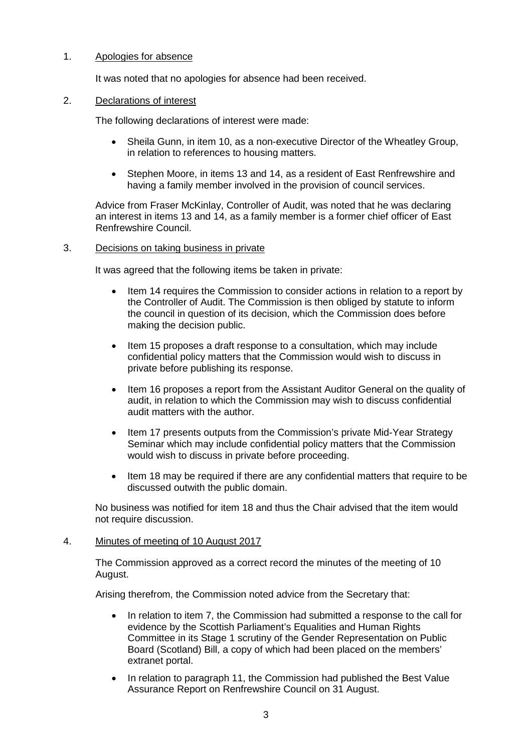## 1. Apologies for absence

It was noted that no apologies for absence had been received.

#### 2. Declarations of interest

The following declarations of interest were made:

- Sheila Gunn, in item 10, as a non-executive Director of the Wheatley Group, in relation to references to housing matters.
- Stephen Moore, in items 13 and 14, as a resident of East Renfrewshire and having a family member involved in the provision of council services.

Advice from Fraser McKinlay, Controller of Audit, was noted that he was declaring an interest in items 13 and 14, as a family member is a former chief officer of East Renfrewshire Council.

### 3. Decisions on taking business in private

It was agreed that the following items be taken in private:

- Item 14 requires the Commission to consider actions in relation to a report by the Controller of Audit. The Commission is then obliged by statute to inform the council in question of its decision, which the Commission does before making the decision public.
- Item 15 proposes a draft response to a consultation, which may include confidential policy matters that the Commission would wish to discuss in private before publishing its response.
- Item 16 proposes a report from the Assistant Auditor General on the quality of audit, in relation to which the Commission may wish to discuss confidential audit matters with the author.
- Item 17 presents outputs from the Commission's private Mid-Year Strategy Seminar which may include confidential policy matters that the Commission would wish to discuss in private before proceeding.
- Item 18 may be required if there are any confidential matters that require to be discussed outwith the public domain.

No business was notified for item 18 and thus the Chair advised that the item would not require discussion.

## 4. Minutes of meeting of 10 August 2017

The Commission approved as a correct record the minutes of the meeting of 10 August.

Arising therefrom, the Commission noted advice from the Secretary that:

- In relation to item 7, the Commission had submitted a response to the call for evidence by the Scottish Parliament's Equalities and Human Rights Committee in its Stage 1 scrutiny of the Gender Representation on Public Board (Scotland) Bill, a copy of which had been placed on the members' extranet portal.
- In relation to paragraph 11, the Commission had published the Best Value Assurance Report on Renfrewshire Council on 31 August.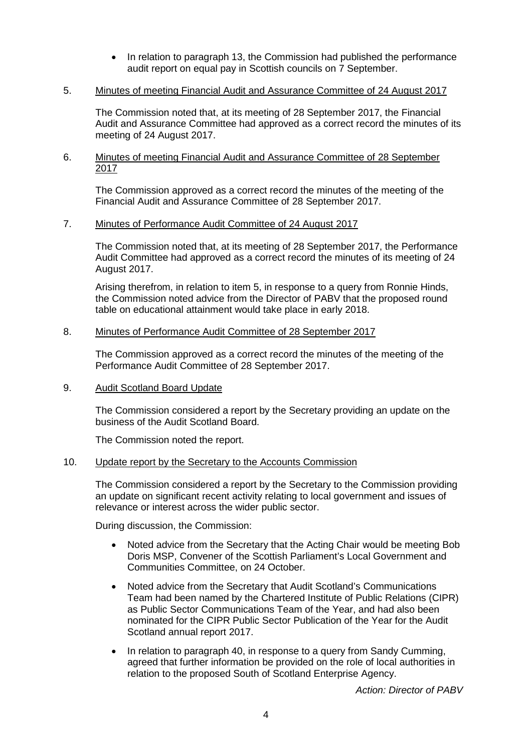• In relation to paragraph 13, the Commission had published the performance audit report on equal pay in Scottish councils on 7 September.

## 5. Minutes of meeting Financial Audit and Assurance Committee of 24 August 2017

The Commission noted that, at its meeting of 28 September 2017, the Financial Audit and Assurance Committee had approved as a correct record the minutes of its meeting of 24 August 2017.

### 6. Minutes of meeting Financial Audit and Assurance Committee of 28 September 2017

The Commission approved as a correct record the minutes of the meeting of the Financial Audit and Assurance Committee of 28 September 2017.

### 7. Minutes of Performance Audit Committee of 24 August 2017

The Commission noted that, at its meeting of 28 September 2017, the Performance Audit Committee had approved as a correct record the minutes of its meeting of 24 August 2017.

Arising therefrom, in relation to item 5, in response to a query from Ronnie Hinds, the Commission noted advice from the Director of PABV that the proposed round table on educational attainment would take place in early 2018.

## 8. Minutes of Performance Audit Committee of 28 September 2017

The Commission approved as a correct record the minutes of the meeting of the Performance Audit Committee of 28 September 2017.

## 9. Audit Scotland Board Update

The Commission considered a report by the Secretary providing an update on the business of the Audit Scotland Board.

The Commission noted the report.

#### 10. Update report by the Secretary to the Accounts Commission

The Commission considered a report by the Secretary to the Commission providing an update on significant recent activity relating to local government and issues of relevance or interest across the wider public sector.

During discussion, the Commission:

- Noted advice from the Secretary that the Acting Chair would be meeting Bob Doris MSP, Convener of the Scottish Parliament's Local Government and Communities Committee, on 24 October.
- Noted advice from the Secretary that Audit Scotland's Communications Team had been named by the Chartered Institute of Public Relations (CIPR) as Public Sector Communications Team of the Year, and had also been nominated for the CIPR Public Sector Publication of the Year for the Audit Scotland annual report 2017.
- In relation to paragraph 40, in response to a query from Sandy Cumming, agreed that further information be provided on the role of local authorities in relation to the proposed South of Scotland Enterprise Agency.

*Action: Director of PABV*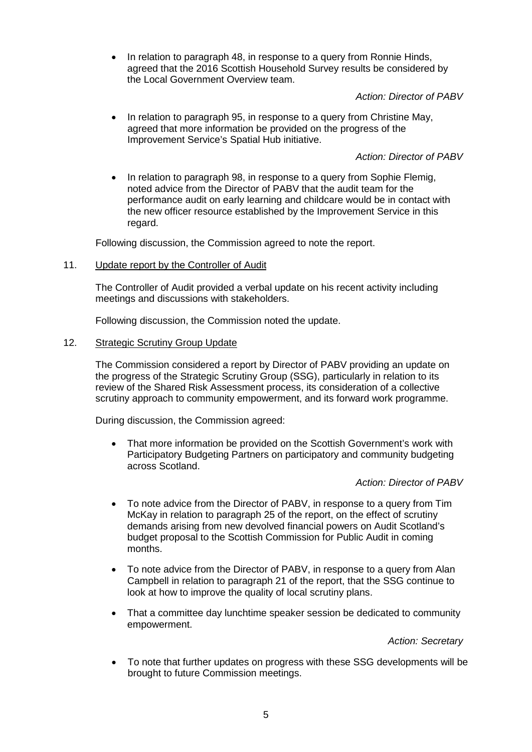• In relation to paragraph 48, in response to a query from Ronnie Hinds, agreed that the 2016 Scottish Household Survey results be considered by the Local Government Overview team.

*Action: Director of PABV*

• In relation to paragraph 95, in response to a query from Christine May, agreed that more information be provided on the progress of the Improvement Service's Spatial Hub initiative.

*Action: Director of PABV*

• In relation to paragraph 98, in response to a query from Sophie Flemig, noted advice from the Director of PABV that the audit team for the performance audit on early learning and childcare would be in contact with the new officer resource established by the Improvement Service in this regard.

Following discussion, the Commission agreed to note the report.

11. Update report by the Controller of Audit

The Controller of Audit provided a verbal update on his recent activity including meetings and discussions with stakeholders.

Following discussion, the Commission noted the update.

# 12. Strategic Scrutiny Group Update

The Commission considered a report by Director of PABV providing an update on the progress of the Strategic Scrutiny Group (SSG), particularly in relation to its review of the Shared Risk Assessment process, its consideration of a collective scrutiny approach to community empowerment, and its forward work programme.

During discussion, the Commission agreed:

• That more information be provided on the Scottish Government's work with Participatory Budgeting Partners on participatory and community budgeting across Scotland.

## *Action: Director of PABV*

- To note advice from the Director of PABV, in response to a query from Tim McKay in relation to paragraph 25 of the report, on the effect of scrutiny demands arising from new devolved financial powers on Audit Scotland's budget proposal to the Scottish Commission for Public Audit in coming months.
- To note advice from the Director of PABV, in response to a query from Alan Campbell in relation to paragraph 21 of the report, that the SSG continue to look at how to improve the quality of local scrutiny plans.
- That a committee day lunchtime speaker session be dedicated to community empowerment.

*Action: Secretary*

• To note that further updates on progress with these SSG developments will be brought to future Commission meetings.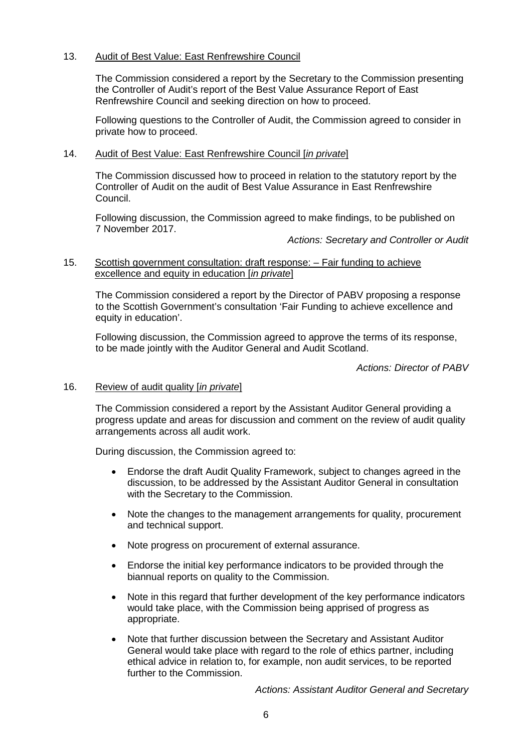## 13. Audit of Best Value: East Renfrewshire Council

The Commission considered a report by the Secretary to the Commission presenting the Controller of Audit's report of the Best Value Assurance Report of East Renfrewshire Council and seeking direction on how to proceed.

Following questions to the Controller of Audit, the Commission agreed to consider in private how to proceed.

### 14. Audit of Best Value: East Renfrewshire Council [*in private*]

The Commission discussed how to proceed in relation to the statutory report by the Controller of Audit on the audit of Best Value Assurance in East Renfrewshire Council.

Following discussion, the Commission agreed to make findings, to be published on 7 November 2017.

*Actions: Secretary and Controller or Audit*

## 15. Scottish government consultation: draft response: – Fair funding to achieve excellence and equity in education [*in private*]

The Commission considered a report by the Director of PABV proposing a response to the Scottish Government's consultation 'Fair Funding to achieve excellence and equity in education'.

Following discussion, the Commission agreed to approve the terms of its response, to be made jointly with the Auditor General and Audit Scotland.

*Actions: Director of PABV*

## 16. Review of audit quality [*in private*]

The Commission considered a report by the Assistant Auditor General providing a progress update and areas for discussion and comment on the review of audit quality arrangements across all audit work.

During discussion, the Commission agreed to:

- Endorse the draft Audit Quality Framework, subject to changes agreed in the discussion, to be addressed by the Assistant Auditor General in consultation with the Secretary to the Commission.
- Note the changes to the management arrangements for quality, procurement and technical support.
- Note progress on procurement of external assurance.
- Endorse the initial key performance indicators to be provided through the biannual reports on quality to the Commission.
- Note in this regard that further development of the key performance indicators would take place, with the Commission being apprised of progress as appropriate.
- Note that further discussion between the Secretary and Assistant Auditor General would take place with regard to the role of ethics partner, including ethical advice in relation to, for example, non audit services, to be reported further to the Commission.

*Actions: Assistant Auditor General and Secretary*